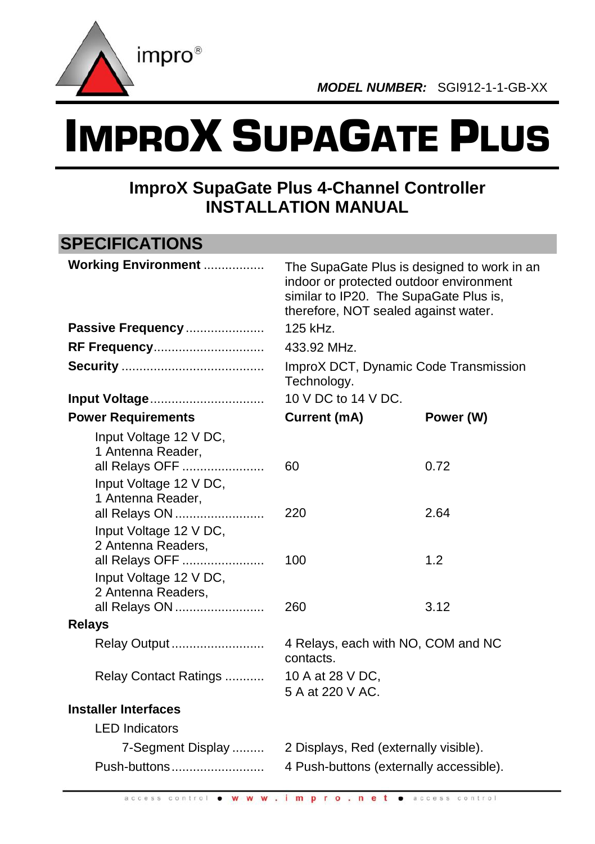

# IMPROX SUPAGATE PLUS

# **ImproX SupaGate Plus 4-Channel Controller INSTALLATION MANUAL**

#### **SPECIFICATIONS Working Environment** ................. The SupaGate Plus is designed to work in an indoor or protected outdoor environment similar to IP20. The SupaGate Plus is, therefore, NOT sealed against water. **Passive Frequency** ...................... 125 kHz. **RF Frequency**............................... 433.92 MHz. **Security** ........................................ ImproX DCT, Dynamic Code Transmission Technology. **Input Voltage**................................ 10 V DC to 14 V DC. **Power Requirements Current (mA) Power (W)** Input Voltage 12 V DC, 1 Antenna Reader, all Relays OFF ....................... 60 0.72 Input Voltage 12 V DC, 1 Antenna Reader, all Relays ON ......................... 220 2.64 Input Voltage 12 V DC, 2 Antenna Readers, all Relays OFF ....................... 100 1.2 Input Voltage 12 V DC, 2 Antenna Readers, all Relays ON ......................... 260 3.12 **Relays** Relay Output .......................... 4 Relays, each with NO, COM and NC contacts. Relay Contact Ratings ........... 10 A at 28 V DC, 5 A at 220 V AC. **Installer Interfaces** LED Indicators 7-Segment Display ......... 2 Displays, Red (externally visible). Push-buttons.......................... 4 Push-buttons (externally accessible).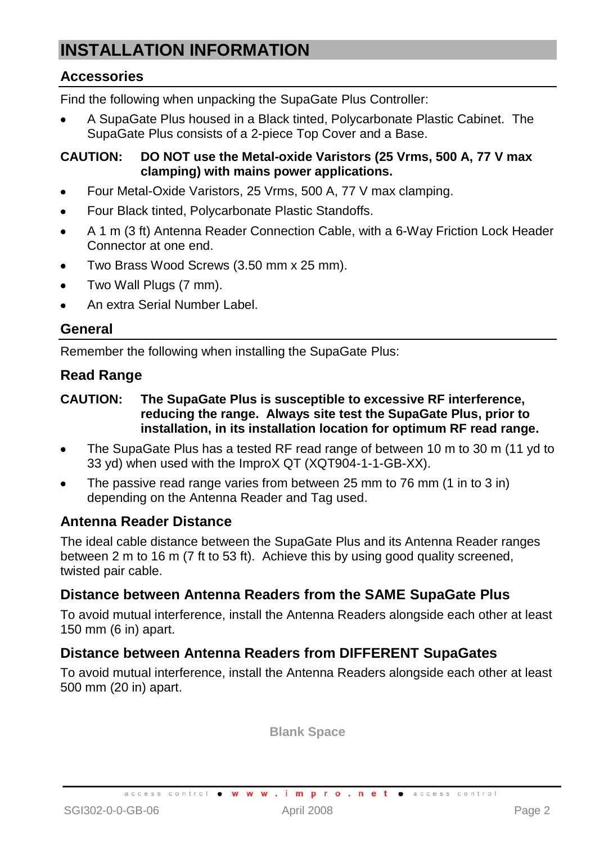# **INSTALLATION INFORMATION**

#### **Accessories**

Find the following when unpacking the SupaGate Plus Controller:

A SupaGate Plus housed in a Black tinted, Polycarbonate Plastic Cabinet. The SupaGate Plus consists of a 2-piece Top Cover and a Base.

#### **CAUTION: DO NOT use the Metal-oxide Varistors (25 Vrms, 500 A, 77 V max clamping) with mains power applications.**

- Four Metal-Oxide Varistors, 25 Vrms, 500 A, 77 V max clamping.
- Four Black tinted, Polycarbonate Plastic Standoffs.
- A 1 m (3 ft) Antenna Reader Connection Cable, with a 6-Way Friction Lock Header  $\bullet$ Connector at one end.
- Two Brass Wood Screws (3.50 mm x 25 mm).
- Two Wall Plugs (7 mm).
- An extra Serial Number Label.

#### **General**

Remember the following when installing the SupaGate Plus:

#### **Read Range**

#### **CAUTION: The SupaGate Plus is susceptible to excessive RF interference, reducing the range. Always site test the SupaGate Plus, prior to installation, in its installation location for optimum RF read range.**

- The SupaGate Plus has a tested RF read range of between 10 m to 30 m (11 yd to 33 yd) when used with the ImproX QT (XQT904-1-1-GB-XX).
- The passive read range varies from between 25 mm to 76 mm (1 in to 3 in) depending on the Antenna Reader and Tag used.

#### **Antenna Reader Distance**

The ideal cable distance between the SupaGate Plus and its Antenna Reader ranges between 2 m to 16 m (7 ft to 53 ft). Achieve this by using good quality screened. twisted pair cable.

#### **Distance between Antenna Readers from the SAME SupaGate Plus**

To avoid mutual interference, install the Antenna Readers alongside each other at least 150 mm (6 in) apart.

#### **Distance between Antenna Readers from DIFFERENT SupaGates**

To avoid mutual interference, install the Antenna Readers alongside each other at least 500 mm (20 in) apart.

**Blank Space**

access control . W W W . impro.net . access control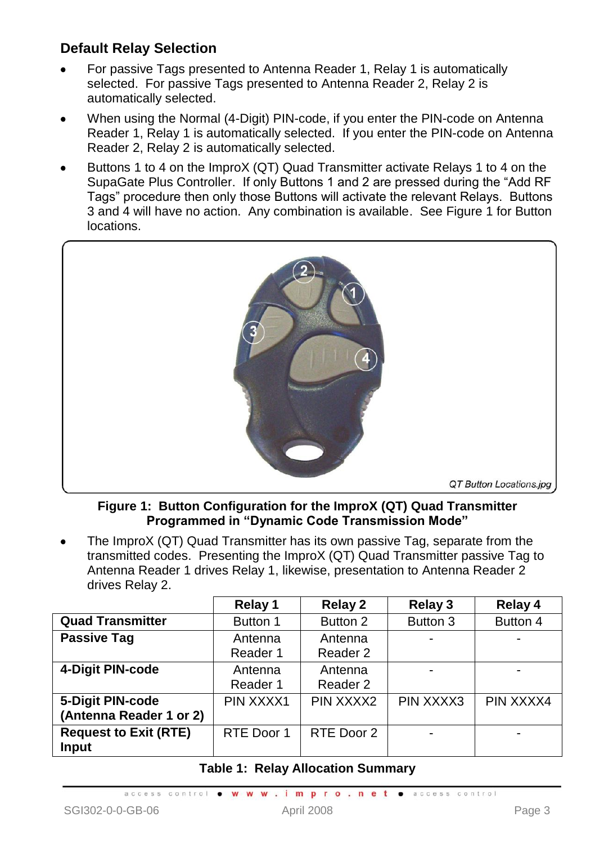#### **Default Relay Selection**

- For passive Tags presented to Antenna Reader 1, Relay 1 is automatically selected. For passive Tags presented to Antenna Reader 2, Relay 2 is automatically selected.
- When using the Normal (4-Digit) PIN-code, if you enter the PIN-code on Antenna Reader 1, Relay 1 is automatically selected. If you enter the PIN-code on Antenna Reader 2, Relay 2 is automatically selected.
- Buttons 1 to 4 on the ImproX (QT) Quad Transmitter activate Relays 1 to 4 on the SupaGate Plus Controller. If only Buttons 1 and 2 are pressed during the "Add RF Tags" procedure then only those Buttons will activate the relevant Relays. Buttons 3 and 4 will have no action. Any combination is available. Se[e Figure 1](#page-2-0) for Button locations.



**Figure 1: Button Configuration for the ImproX (QT) Quad Transmitter Programmed in "Dynamic Code Transmission Mode"**

<span id="page-2-0"></span>The ImproX (QT) Quad Transmitter has its own passive Tag, separate from the transmitted codes. Presenting the ImproX (QT) Quad Transmitter passive Tag to Antenna Reader 1 drives Relay 1, likewise, presentation to Antenna Reader 2 drives Relay 2.

|                                             | Relay 1             | Relay 2             | Relay 3   | Relay 4   |
|---------------------------------------------|---------------------|---------------------|-----------|-----------|
| <b>Quad Transmitter</b>                     | Button 1            | Button 2            | Button 3  | Button 4  |
| <b>Passive Tag</b>                          | Antenna<br>Reader 1 | Antenna<br>Reader 2 | ۰         |           |
| 4-Digit PIN-code                            | Antenna<br>Reader 1 | Antenna<br>Reader 2 | ۰         |           |
| 5-Digit PIN-code<br>(Antenna Reader 1 or 2) | PIN XXXX1           | PIN XXXX2           | PIN XXXX3 | PIN XXXX4 |
| <b>Request to Exit (RTE)</b><br>Input       | RTE Door 1          | RTE Door 2          |           |           |

#### <span id="page-2-1"></span>**Table 1: Relay Allocation Summary**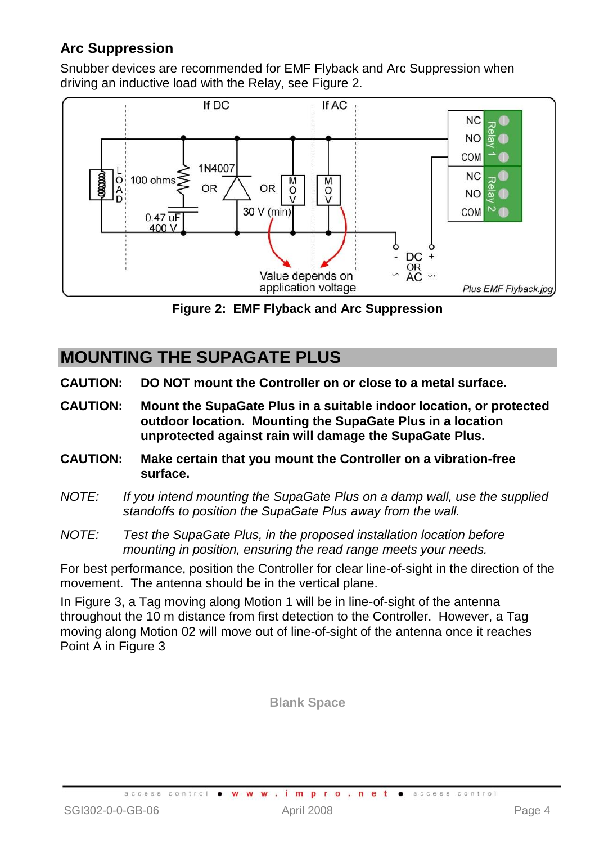#### **Arc Suppression**

Snubber devices are recommended for EMF Flyback and Arc Suppression when driving an inductive load with the Relay, see [Figure 2.](#page-3-0)



**Figure 2: EMF Flyback and Arc Suppression**

### <span id="page-3-0"></span>**MOUNTING THE SUPAGATE PLUS**

- **CAUTION: DO NOT mount the Controller on or close to a metal surface.**
- **CAUTION: Mount the SupaGate Plus in a suitable indoor location, or protected outdoor location. Mounting the SupaGate Plus in a location unprotected against rain will damage the SupaGate Plus.**
- **CAUTION: Make certain that you mount the Controller on a vibration-free surface.**
- *NOTE: If you intend mounting the SupaGate Plus on a damp wall, use the supplied standoffs to position the SupaGate Plus away from the wall.*
- *NOTE: Test the SupaGate Plus, in the proposed installation location before mounting in position, ensuring the read range meets your needs.*

For best performance, position the Controller for clear line-of-sight in the direction of the movement. The antenna should be in the vertical plane.

I[n Figure 3,](#page-4-0) a Tag moving along Motion 1 will be in line-of-sight of the antenna throughout the 10 m distance from first detection to the Controller. However, a Tag moving along Motion 02 will move out of line-of-sight of the antenna once it reaches Point A i[n Figure 3](#page-4-0)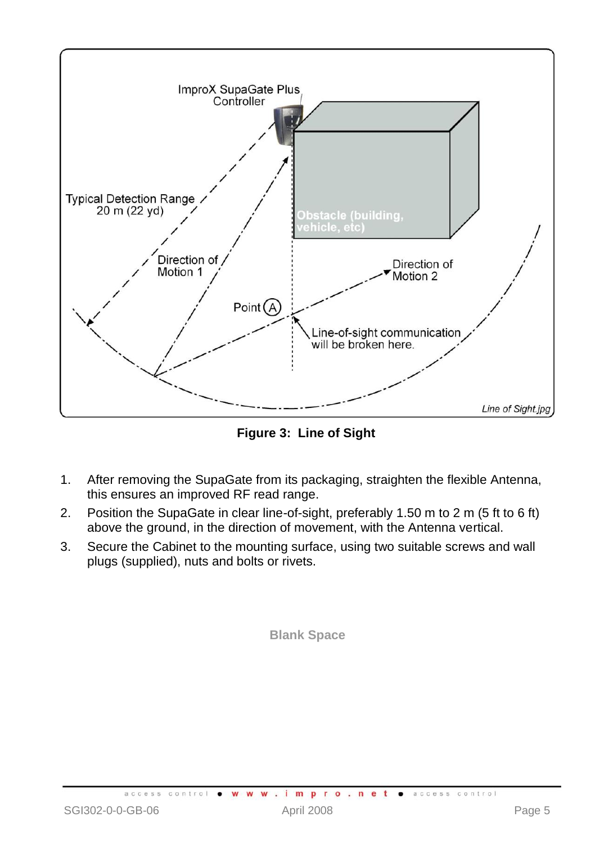

**Figure 3: Line of Sight**

- <span id="page-4-0"></span>1. After removing the SupaGate from its packaging, straighten the flexible Antenna, this ensures an improved RF read range.
- 2. Position the SupaGate in clear line-of-sight, preferably 1.50 m to 2 m (5 ft to 6 ft) above the ground, in the direction of movement, with the Antenna vertical.
- 3. Secure the Cabinet to the mounting surface, using two suitable screws and wall plugs (supplied), nuts and bolts or rivets.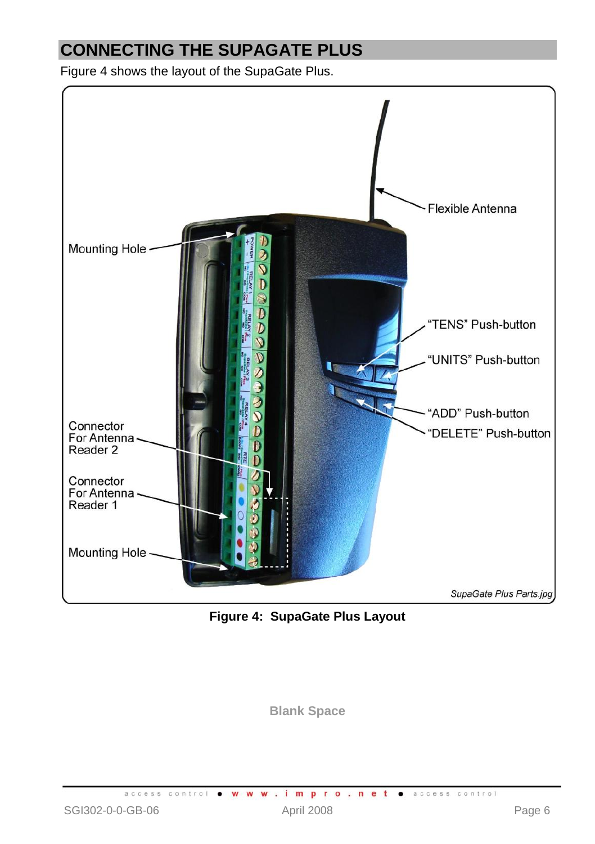# **CONNECTING THE SUPAGATE PLUS**

[Figure 4](#page-5-0) shows the layout of the SupaGate Plus.

<span id="page-5-0"></span>

**Figure 4: SupaGate Plus Layout**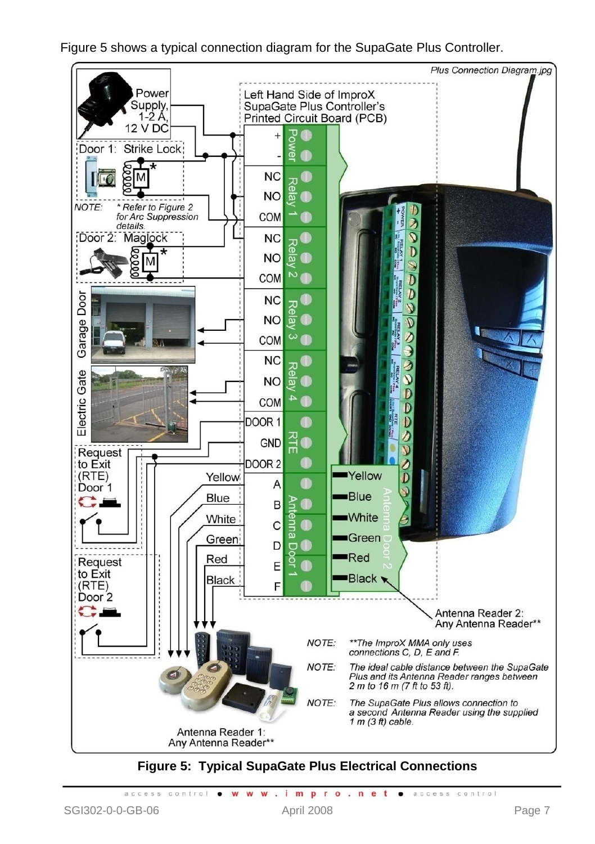[Figure 5](#page-6-0) shows a typical connection diagram for the SupaGate Plus Controller.



**Figure 5: Typical SupaGate Plus Electrical Connections**

<span id="page-6-0"></span>access control . www.impro.net . access control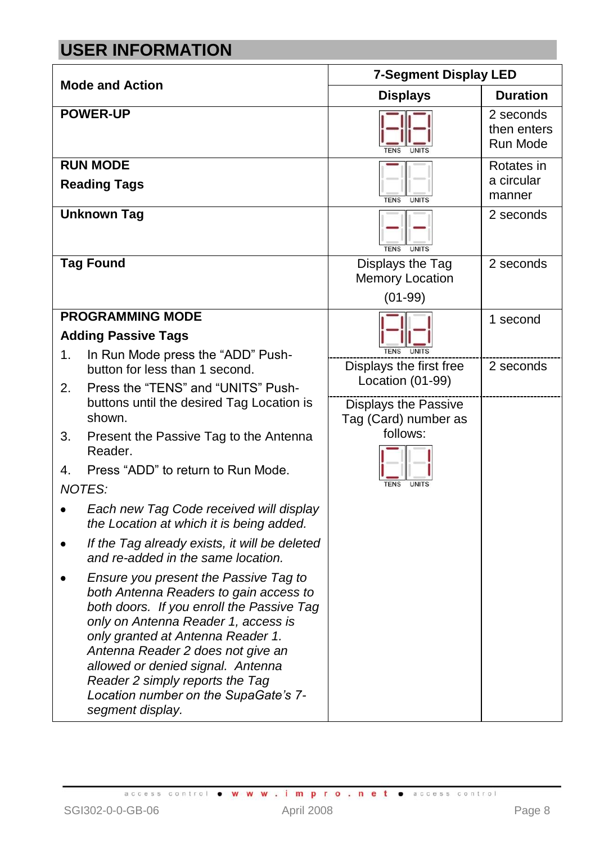# **USER INFORMATION**

| <b>Mode and Action</b> |                                                                                                                                                                                                                                                                                                                                                                                   | <b>7-Segment Display LED</b>                           |                                      |  |  |  |
|------------------------|-----------------------------------------------------------------------------------------------------------------------------------------------------------------------------------------------------------------------------------------------------------------------------------------------------------------------------------------------------------------------------------|--------------------------------------------------------|--------------------------------------|--|--|--|
|                        |                                                                                                                                                                                                                                                                                                                                                                                   | <b>Displays</b>                                        | <b>Duration</b>                      |  |  |  |
|                        | <b>POWER-UP</b>                                                                                                                                                                                                                                                                                                                                                                   |                                                        | 2 seconds<br>then enters<br>Run Mode |  |  |  |
|                        | <b>RUN MODE</b>                                                                                                                                                                                                                                                                                                                                                                   |                                                        | Rotates in                           |  |  |  |
|                        | <b>Reading Tags</b>                                                                                                                                                                                                                                                                                                                                                               | <b>UNITS</b><br><b>TENS</b>                            | a circular<br>manner                 |  |  |  |
|                        | <b>Unknown Tag</b>                                                                                                                                                                                                                                                                                                                                                                | <b>TENS</b><br><b>UNITS</b>                            | 2 seconds                            |  |  |  |
|                        | <b>Tag Found</b>                                                                                                                                                                                                                                                                                                                                                                  | Displays the Tag                                       | 2 seconds                            |  |  |  |
|                        |                                                                                                                                                                                                                                                                                                                                                                                   | Memory Location                                        |                                      |  |  |  |
|                        |                                                                                                                                                                                                                                                                                                                                                                                   | $(01-99)$                                              |                                      |  |  |  |
|                        | <b>PROGRAMMING MODE</b>                                                                                                                                                                                                                                                                                                                                                           |                                                        | 1 second                             |  |  |  |
|                        | <b>Adding Passive Tags</b>                                                                                                                                                                                                                                                                                                                                                        |                                                        |                                      |  |  |  |
| 1.                     | In Run Mode press the "ADD" Push-<br>button for less than 1 second.                                                                                                                                                                                                                                                                                                               | <b>TENS</b><br><b>UNITS</b><br>Displays the first free | 2 seconds                            |  |  |  |
| 2.                     | Press the "TENS" and "UNITS" Push-                                                                                                                                                                                                                                                                                                                                                | Location (01-99)                                       |                                      |  |  |  |
|                        | buttons until the desired Tag Location is<br>shown.                                                                                                                                                                                                                                                                                                                               | Displays the Passive<br>Tag (Card) number as           |                                      |  |  |  |
| 3.                     | Present the Passive Tag to the Antenna<br>Reader.                                                                                                                                                                                                                                                                                                                                 | follows:                                               |                                      |  |  |  |
| 4.                     | Press "ADD" to return to Run Mode.                                                                                                                                                                                                                                                                                                                                                |                                                        |                                      |  |  |  |
|                        | <b>NOTES:</b>                                                                                                                                                                                                                                                                                                                                                                     |                                                        |                                      |  |  |  |
|                        | Each new Tag Code received will display<br>the Location at which it is being added.                                                                                                                                                                                                                                                                                               |                                                        |                                      |  |  |  |
|                        | If the Tag already exists, it will be deleted<br>and re-added in the same location.                                                                                                                                                                                                                                                                                               |                                                        |                                      |  |  |  |
|                        | Ensure you present the Passive Tag to<br>both Antenna Readers to gain access to<br>both doors. If you enroll the Passive Tag<br>only on Antenna Reader 1, access is<br>only granted at Antenna Reader 1.<br>Antenna Reader 2 does not give an<br>allowed or denied signal. Antenna<br>Reader 2 simply reports the Tag<br>Location number on the SupaGate's 7-<br>segment display. |                                                        |                                      |  |  |  |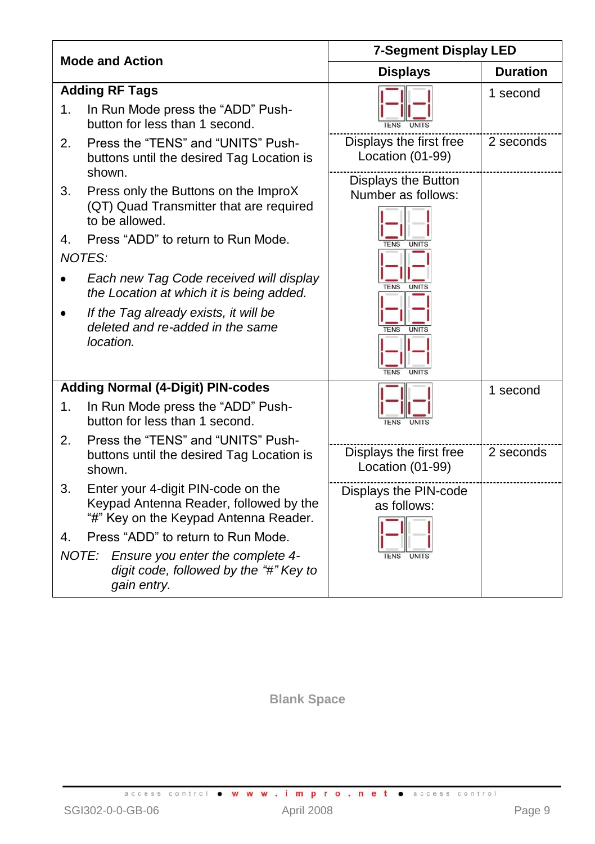| <b>Mode and Action</b>                  |                                                                                                                                                                                                                                                                                                             | <b>7-Segment Display LED</b>                                                                                                    |                 |  |  |
|-----------------------------------------|-------------------------------------------------------------------------------------------------------------------------------------------------------------------------------------------------------------------------------------------------------------------------------------------------------------|---------------------------------------------------------------------------------------------------------------------------------|-----------------|--|--|
|                                         |                                                                                                                                                                                                                                                                                                             | <b>Displays</b>                                                                                                                 | <b>Duration</b> |  |  |
| <b>Adding RF Tags</b><br>$\mathbf{1}$ . | In Run Mode press the "ADD" Push-<br>button for less than 1 second.                                                                                                                                                                                                                                         |                                                                                                                                 | 1 second        |  |  |
| 2.<br>shown.                            | Press the "TENS" and "UNITS" Push-<br>buttons until the desired Tag Location is                                                                                                                                                                                                                             | Displays the first free<br>Location (01-99)                                                                                     | 2 seconds       |  |  |
| 3.<br>4.<br><b>NOTES:</b><br>location.  | Press only the Buttons on the ImproX<br>(QT) Quad Transmitter that are required<br>to be allowed.<br>Press "ADD" to return to Run Mode.<br>Each new Tag Code received will display<br>the Location at which it is being added.<br>If the Tag already exists, it will be<br>deleted and re-added in the same | Displays the Button<br>Number as follows:<br><b>TENS</b><br>UNITS<br><b>TENS</b><br><b>UNITS</b><br><b>TENS</b><br><b>UNITS</b> |                 |  |  |
|                                         | <b>Adding Normal (4-Digit) PIN-codes</b>                                                                                                                                                                                                                                                                    | <b>TENS</b><br><b>UNITS</b>                                                                                                     | 1 second        |  |  |
| 1.                                      | In Run Mode press the "ADD" Push-<br>button for less than 1 second.                                                                                                                                                                                                                                         |                                                                                                                                 |                 |  |  |
| 2.<br>shown.                            | Press the "TENS" and "UNITS" Push-<br>buttons until the desired Tag Location is                                                                                                                                                                                                                             | Displays the first free<br>Location (01-99)                                                                                     | 2 seconds       |  |  |
| 3.                                      | Enter your 4-digit PIN-code on the<br>Keypad Antenna Reader, followed by the<br>"#" Key on the Keypad Antenna Reader.                                                                                                                                                                                       | Displays the PIN-code<br>as follows:                                                                                            |                 |  |  |
| 4.                                      | Press "ADD" to return to Run Mode.                                                                                                                                                                                                                                                                          |                                                                                                                                 |                 |  |  |
| NOTE:                                   | Ensure you enter the complete 4-<br>digit code, followed by the "#" Key to<br>gain entry.                                                                                                                                                                                                                   |                                                                                                                                 |                 |  |  |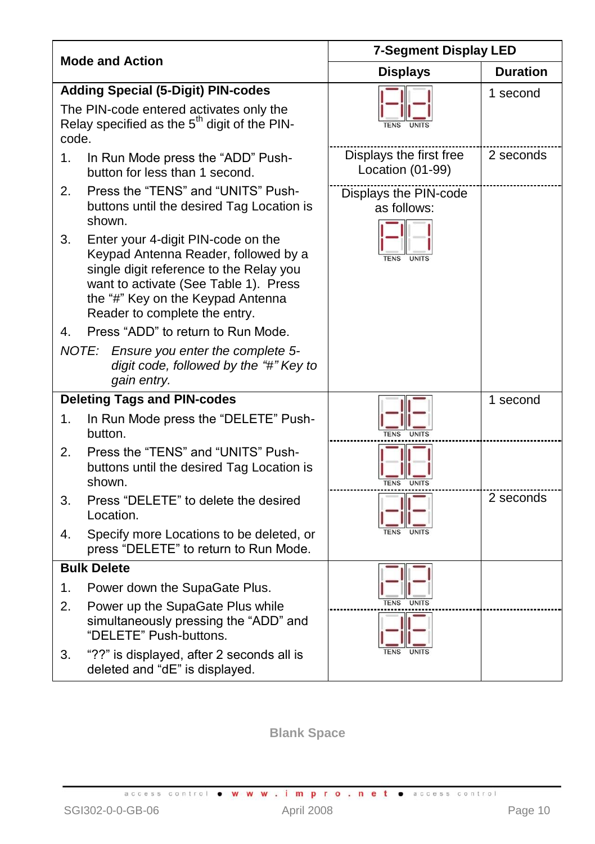|       |                                                                                                                                                                                                                                      | <b>7-Segment Display LED</b>                |                 |  |  |  |
|-------|--------------------------------------------------------------------------------------------------------------------------------------------------------------------------------------------------------------------------------------|---------------------------------------------|-----------------|--|--|--|
|       | <b>Mode and Action</b>                                                                                                                                                                                                               | <b>Displays</b>                             | <b>Duration</b> |  |  |  |
|       | <b>Adding Special (5-Digit) PIN-codes</b>                                                                                                                                                                                            |                                             | 1 second        |  |  |  |
| code. | The PIN-code entered activates only the<br>Relay specified as the 5 <sup>th</sup> digit of the PIN-                                                                                                                                  |                                             |                 |  |  |  |
| 1.    | In Run Mode press the "ADD" Push-<br>button for less than 1 second.                                                                                                                                                                  | Displays the first free<br>Location (01-99) | 2 seconds       |  |  |  |
| 2.    | Press the "TENS" and "UNITS" Push-<br>buttons until the desired Tag Location is<br>shown.                                                                                                                                            | Displays the PIN-code<br>as follows:        |                 |  |  |  |
| 3.    | Enter your 4-digit PIN-code on the<br>Keypad Antenna Reader, followed by a<br>single digit reference to the Relay you<br>want to activate (See Table 1). Press<br>the "#" Key on the Keypad Antenna<br>Reader to complete the entry. | UNITS                                       |                 |  |  |  |
| 4.    | Press "ADD" to return to Run Mode.                                                                                                                                                                                                   |                                             |                 |  |  |  |
|       | NOTE:<br>Ensure you enter the complete 5-<br>digit code, followed by the "#" Key to<br>gain entry.                                                                                                                                   |                                             |                 |  |  |  |
|       | <b>Deleting Tags and PIN-codes</b>                                                                                                                                                                                                   |                                             | 1 second        |  |  |  |
| 1.    | In Run Mode press the "DELETE" Push-<br>button.                                                                                                                                                                                      | <b>TENS</b><br><b>UNITS</b>                 |                 |  |  |  |
| 2.    | Press the "TENS" and "UNITS" Push-<br>buttons until the desired Tag Location is<br>shown.                                                                                                                                            |                                             |                 |  |  |  |
| 3.    | Press "DELETE" to delete the desired<br>Location.                                                                                                                                                                                    |                                             | 2 seconds       |  |  |  |
| 4.    | Specify more Locations to be deleted, or<br>press "DELETE" to return to Run Mode.                                                                                                                                                    | <b>IJNITS</b>                               |                 |  |  |  |
|       | <b>Bulk Delete</b>                                                                                                                                                                                                                   |                                             |                 |  |  |  |
| 1.    | Power down the SupaGate Plus.                                                                                                                                                                                                        |                                             |                 |  |  |  |
| 2.    | Power up the SupaGate Plus while<br>simultaneously pressing the "ADD" and<br>"DELETE" Push-buttons.                                                                                                                                  |                                             |                 |  |  |  |
| 3.    | "??" is displayed, after 2 seconds all is<br>deleted and "dE" is displayed.                                                                                                                                                          |                                             |                 |  |  |  |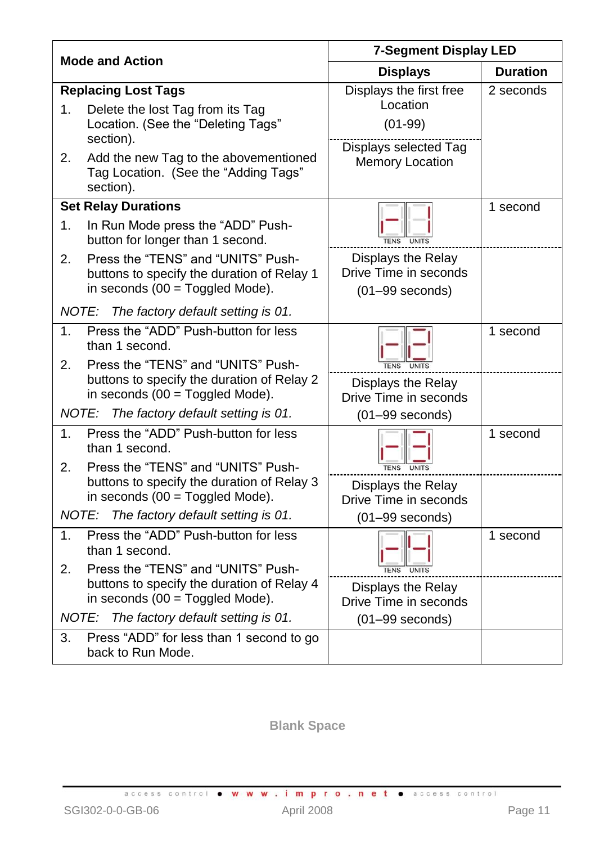|       | <b>Mode and Action</b>                                                           | <b>7-Segment Display LED</b>                |                 |  |  |  |
|-------|----------------------------------------------------------------------------------|---------------------------------------------|-----------------|--|--|--|
|       |                                                                                  | <b>Displays</b>                             | <b>Duration</b> |  |  |  |
|       | <b>Replacing Lost Tags</b>                                                       | Displays the first free                     | 2 seconds       |  |  |  |
| 1.    | Delete the lost Tag from its Tag                                                 | Location                                    |                 |  |  |  |
|       | Location. (See the "Deleting Tags"                                               | $(01-99)$                                   |                 |  |  |  |
| 2.    | section).<br>Add the new Tag to the abovementioned                               | Displays selected Tag                       |                 |  |  |  |
|       | Tag Location. (See the "Adding Tags"<br>section).                                | Memory Location                             |                 |  |  |  |
|       | <b>Set Relay Durations</b>                                                       |                                             | 1 second        |  |  |  |
| 1.    | In Run Mode press the "ADD" Push-<br>button for longer than 1 second.            | <b>TENS</b><br><b>UNITS</b>                 |                 |  |  |  |
| 2.    | Press the "TENS" and "UNITS" Push-                                               | Displays the Relay                          |                 |  |  |  |
|       | buttons to specify the duration of Relay 1                                       | Drive Time in seconds                       |                 |  |  |  |
|       | in seconds $(00 = Toggled Mode)$ .                                               | $(01-99$ seconds)                           |                 |  |  |  |
| NOTE: | The factory default setting is 01.                                               |                                             |                 |  |  |  |
| 1.    | Press the "ADD" Push-button for less<br>than 1 second.                           |                                             | 1 second        |  |  |  |
| 2.    | Press the "TENS" and "UNITS" Push-                                               |                                             |                 |  |  |  |
|       | buttons to specify the duration of Relay 2<br>in seconds $(00 = Toggled Mode)$ . | Displays the Relay<br>Drive Time in seconds |                 |  |  |  |
|       | NOTE: The factory default setting is 01.                                         | $(01-99$ seconds)                           |                 |  |  |  |
| 1.    | Press the "ADD" Push-button for less<br>than 1 second.                           |                                             | 1 second        |  |  |  |
| 2.    | Press the "TENS" and "UNITS" Push-                                               | <b>TENS</b>                                 |                 |  |  |  |
|       | buttons to specify the duration of Relay 3<br>in seconds $(00 = Toggled Mode)$ . | Displays the Relay<br>Drive Time in seconds |                 |  |  |  |
| NOTE: | The factory default setting is 01.                                               | $(01-99$ seconds)                           |                 |  |  |  |
| 1.    | Press the "ADD" Push-button for less                                             |                                             | $1$ second      |  |  |  |
|       | than 1 second.                                                                   |                                             |                 |  |  |  |
| 2.    | Press the "TENS" and "UNITS" Push-<br>buttons to specify the duration of Relay 4 | <b>LINITS</b>                               |                 |  |  |  |
|       | in seconds $(00 = Toggled Mode)$ .                                               | Displays the Relay<br>Drive Time in seconds |                 |  |  |  |
| NOTE: | The factory default setting is 01.                                               | $(01-99$ seconds)                           |                 |  |  |  |
| 3.    | Press "ADD" for less than 1 second to go                                         |                                             |                 |  |  |  |
|       | back to Run Mode.                                                                |                                             |                 |  |  |  |

access control . www.impro.net . access control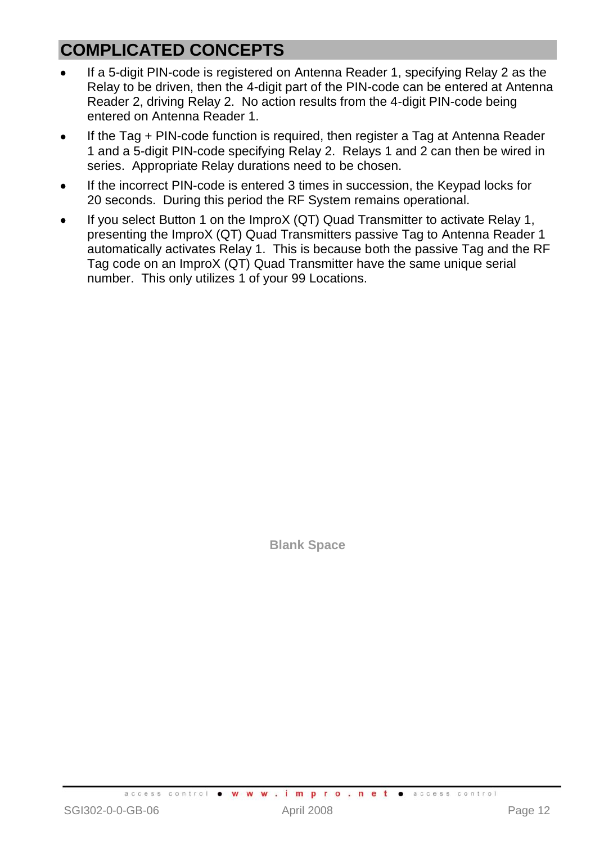# **COMPLICATED CONCEPTS**

- If a 5-digit PIN-code is registered on Antenna Reader 1, specifying Relay 2 as the Relay to be driven, then the 4-digit part of the PIN-code can be entered at Antenna Reader 2, driving Relay 2. No action results from the 4-digit PIN-code being entered on Antenna Reader 1.
- If the Tag + PIN-code function is required, then register a Tag at Antenna Reader 1 and a 5-digit PIN-code specifying Relay 2. Relays 1 and 2 can then be wired in series. Appropriate Relay durations need to be chosen.
- If the incorrect PIN-code is entered 3 times in succession, the Keypad locks for 20 seconds. During this period the RF System remains operational.
- If you select Button 1 on the ImproX (QT) Quad Transmitter to activate Relay 1, presenting the ImproX (QT) Quad Transmitters passive Tag to Antenna Reader 1 automatically activates Relay 1. This is because both the passive Tag and the RF Tag code on an ImproX (QT) Quad Transmitter have the same unique serial number. This only utilizes 1 of your 99 Locations.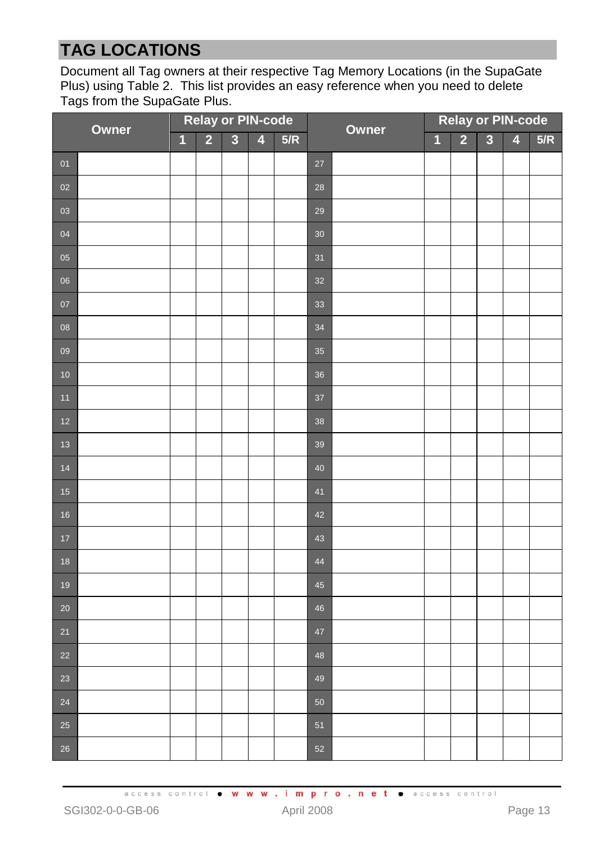# **TAG LOCATIONS**

Document all Tag owners at their respective Tag Memory Locations (in the SupaGate Plus) usin[g Table 2.](#page-13-0) This list provides an easy reference when you need to delete Tags from the SupaGate Plus.

| Owner  |  | <b>Relay or PIN-code</b> |                |                         |                         |     | Owner  |  | <b>Relay or PIN-code</b> |                |                |                         |     |
|--------|--|--------------------------|----------------|-------------------------|-------------------------|-----|--------|--|--------------------------|----------------|----------------|-------------------------|-----|
|        |  | $\overline{\mathbf{1}}$  | $\overline{2}$ | $\overline{\mathbf{3}}$ | $\overline{\mathbf{4}}$ | 5/R |        |  | $\overline{1}$           | $\overline{2}$ | $\overline{3}$ | $\overline{\mathbf{4}}$ | 5/R |
| 01     |  |                          |                |                         |                         |     | 27     |  |                          |                |                |                         |     |
| 02     |  |                          |                |                         |                         |     | 28     |  |                          |                |                |                         |     |
| 03     |  |                          |                |                         |                         |     | 29     |  |                          |                |                |                         |     |
| 04     |  |                          |                |                         |                         |     | $30\,$ |  |                          |                |                |                         |     |
| 05     |  |                          |                |                         |                         |     | 31     |  |                          |                |                |                         |     |
| 06     |  |                          |                |                         |                         |     | 32     |  |                          |                |                |                         |     |
| 07     |  |                          |                |                         |                         |     | 33     |  |                          |                |                |                         |     |
| 08     |  |                          |                |                         |                         |     | 34     |  |                          |                |                |                         |     |
| 09     |  |                          |                |                         |                         |     | 35     |  |                          |                |                |                         |     |
| $10$   |  |                          |                |                         |                         |     | 36     |  |                          |                |                |                         |     |
| $11$   |  |                          |                |                         |                         |     | 37     |  |                          |                |                |                         |     |
| $12$   |  |                          |                |                         |                         |     | 38     |  |                          |                |                |                         |     |
| 13     |  |                          |                |                         |                         |     | 39     |  |                          |                |                |                         |     |
| 14     |  |                          |                |                         |                         |     | 40     |  |                          |                |                |                         |     |
| 15     |  |                          |                |                         |                         |     | 41     |  |                          |                |                |                         |     |
| 16     |  |                          |                |                         |                         |     | 42     |  |                          |                |                |                         |     |
| $17$   |  |                          |                |                         |                         |     | 43     |  |                          |                |                |                         |     |
| 18     |  |                          |                |                         |                         |     | 44     |  |                          |                |                |                         |     |
| 19     |  |                          |                |                         |                         |     | 45     |  |                          |                |                |                         |     |
| $20\,$ |  |                          |                |                         |                         |     | 46     |  |                          |                |                |                         |     |
| 21     |  |                          |                |                         |                         |     | 47     |  |                          |                |                |                         |     |
| 22     |  |                          |                |                         |                         |     | 48     |  |                          |                |                |                         |     |
| 23     |  |                          |                |                         |                         |     | 49     |  |                          |                |                |                         |     |
| 24     |  |                          |                |                         |                         |     | 50     |  |                          |                |                |                         |     |
| $25\,$ |  |                          |                |                         |                         |     | 51     |  |                          |                |                |                         |     |
| 26     |  |                          |                |                         |                         |     | 52     |  |                          |                |                |                         |     |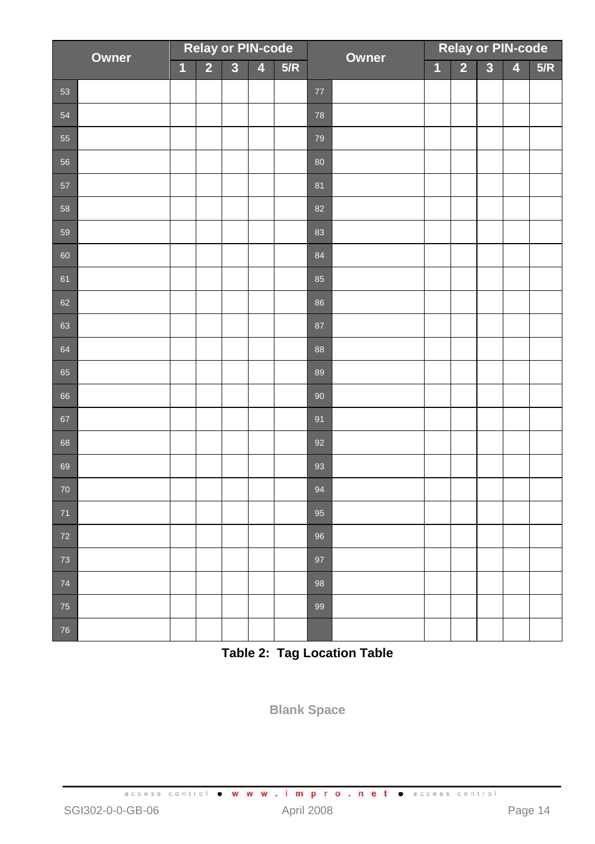| Owner |  | <b>Relay or PIN-code</b> |                |                         |                         |     | Owner  |  | <b>Relay or PIN-code</b> |                |                         |                         |     |
|-------|--|--------------------------|----------------|-------------------------|-------------------------|-----|--------|--|--------------------------|----------------|-------------------------|-------------------------|-----|
|       |  | $\overline{1}$           | $\overline{2}$ | $\overline{\mathbf{3}}$ | $\overline{\mathbf{4}}$ | 5/R |        |  | $\overline{1}$           | $\overline{2}$ | $\overline{\mathbf{3}}$ | $\overline{\mathbf{4}}$ | 5/R |
| 53    |  |                          |                |                         |                         |     | $77\,$ |  |                          |                |                         |                         |     |
| 54    |  |                          |                |                         |                         |     | 78     |  |                          |                |                         |                         |     |
| 55    |  |                          |                |                         |                         |     | 79     |  |                          |                |                         |                         |     |
| 56    |  |                          |                |                         |                         |     | 80     |  |                          |                |                         |                         |     |
| 57    |  |                          |                |                         |                         |     | 81     |  |                          |                |                         |                         |     |
| 58    |  |                          |                |                         |                         |     | 82     |  |                          |                |                         |                         |     |
| 59    |  |                          |                |                         |                         |     | 83     |  |                          |                |                         |                         |     |
| 60    |  |                          |                |                         |                         |     | 84     |  |                          |                |                         |                         |     |
| 61    |  |                          |                |                         |                         |     | 85     |  |                          |                |                         |                         |     |
| 62    |  |                          |                |                         |                         |     | 86     |  |                          |                |                         |                         |     |
| 63    |  |                          |                |                         |                         |     | 87     |  |                          |                |                         |                         |     |
| 64    |  |                          |                |                         |                         |     | 88     |  |                          |                |                         |                         |     |
| 65    |  |                          |                |                         |                         |     | 89     |  |                          |                |                         |                         |     |
| 66    |  |                          |                |                         |                         |     | 90     |  |                          |                |                         |                         |     |
| 67    |  |                          |                |                         |                         |     | 91     |  |                          |                |                         |                         |     |
| 68    |  |                          |                |                         |                         |     | 92     |  |                          |                |                         |                         |     |
| 69    |  |                          |                |                         |                         |     | 93     |  |                          |                |                         |                         |     |
| 70    |  |                          |                |                         |                         |     | 94     |  |                          |                |                         |                         |     |
| $71$  |  |                          |                |                         |                         |     | 95     |  |                          |                |                         |                         |     |
| 72    |  |                          |                |                         |                         |     | 96     |  |                          |                |                         |                         |     |
| 73    |  |                          |                |                         |                         |     | 97     |  |                          |                |                         |                         |     |
| 74    |  |                          |                |                         |                         |     | 98     |  |                          |                |                         |                         |     |
| 75    |  |                          |                |                         |                         |     | 99     |  |                          |                |                         |                         |     |
| 76    |  |                          |                |                         |                         |     |        |  |                          |                |                         |                         |     |

<span id="page-13-0"></span>**Table 2: Tag Location Table**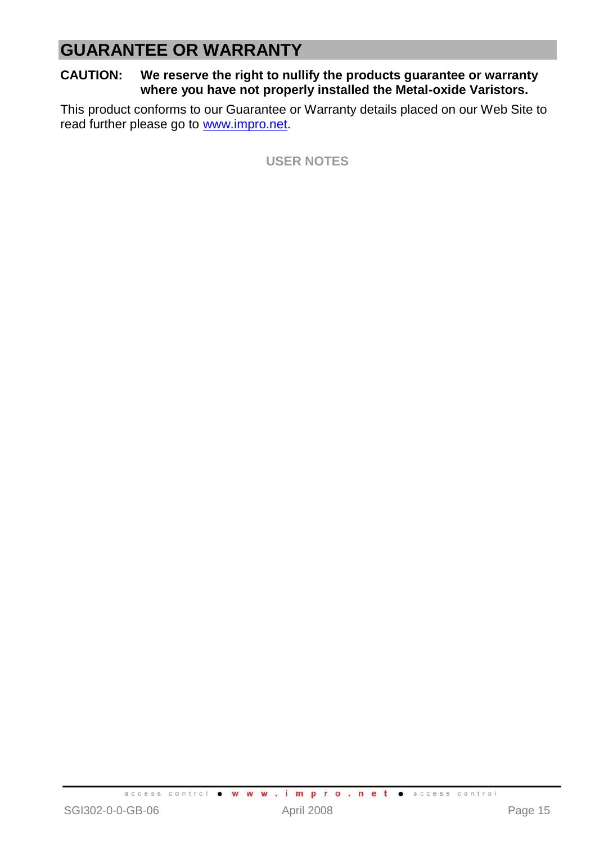# **GUARANTEE OR WARRANTY**

#### **CAUTION: We reserve the right to nullify the products guarantee or warranty where you have not properly installed the Metal-oxide Varistors.**

This product conforms to our Guarantee or Warranty details placed on our Web Site to read further please go to [www.impro.net.](http://www.impro.net/)

**USER NOTES**